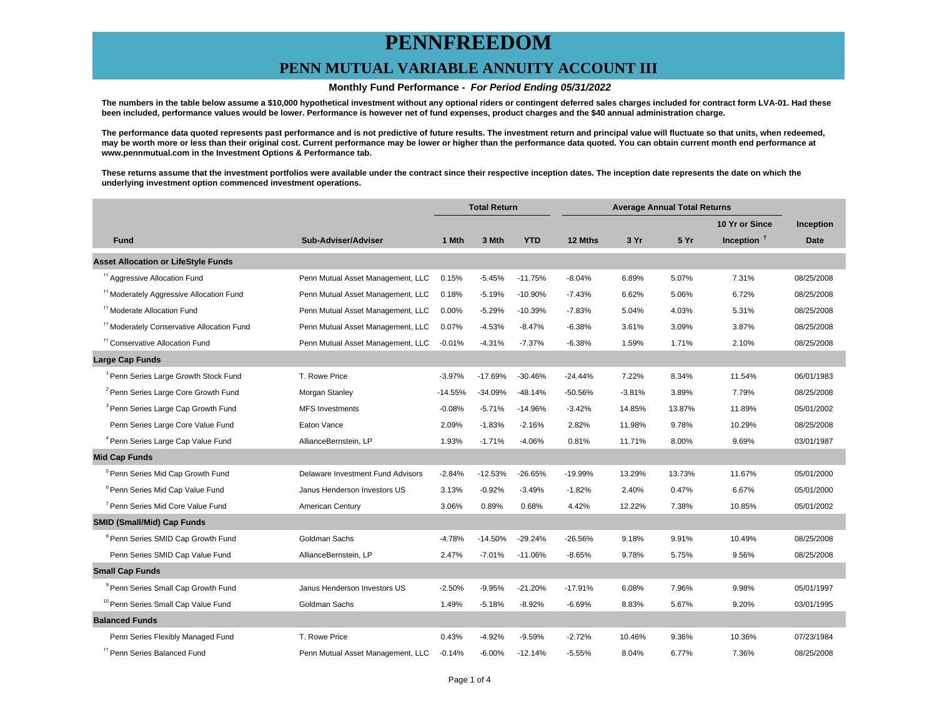### **PENN MUTUAL VARIABLE ANNUITY ACCOUNT III**

#### **Monthly Fund Performance - For Period Ending 05/31/2022**

**The numbers in the table below assume a \$10,000 hypothetical investment without any optional riders or contingent deferred sales charges included for contract form LVA-01. Had these been included, performance values would be lower. Performance is however net of fund expenses, product charges and the \$40 annual administration charge.**

**The performance data quoted represents past performance and is not predictive of future results. The investment return and principal value will fluctuate so that units, when redeemed, may be worth more or less than their original cost. Current performance may be lower or higher than the performance data quoted. You can obtain current month end performance at www.pennmutual.com in the Investment Options & Performance tab.**

**These returns assume that the investment portfolios were available under the contract since their respective inception dates. The inception date represents the date on which the underlying investment option commenced investment operations.**

|                                                       |                                   | <b>Total Return</b> |           | <b>Average Annual Total Returns</b> |           |          |        |                |             |
|-------------------------------------------------------|-----------------------------------|---------------------|-----------|-------------------------------------|-----------|----------|--------|----------------|-------------|
|                                                       |                                   |                     |           |                                     |           |          |        | 10 Yr or Since | Inception   |
| <b>Fund</b>                                           | Sub-Adviser/Adviser               | 1 Mth               | 3 Mth     | <b>YTD</b>                          | 12 Mths   | 3 Yr     | 5 Yr   | Inception $†$  | <b>Date</b> |
| <b>Asset Allocation or LifeStyle Funds</b>            |                                   |                     |           |                                     |           |          |        |                |             |
| <sup>11</sup> Aggressive Allocation Fund              | Penn Mutual Asset Management, LLC | 0.15%               | $-5.45%$  | $-11.75%$                           | $-8.04%$  | 6.89%    | 5.07%  | 7.31%          | 08/25/2008  |
| <sup>#†</sup> Moderately Aggressive Allocation Fund   | Penn Mutual Asset Management, LLC | 0.18%               | $-5.19%$  | $-10.90%$                           | $-7.43%$  | 6.62%    | 5.06%  | 6.72%          | 08/25/2008  |
| <sup>#</sup> Moderate Allocation Fund                 | Penn Mutual Asset Management, LLC | 0.00%               | $-5.29%$  | $-10.39%$                           | $-7.83%$  | 5.04%    | 4.03%  | 5.31%          | 08/25/2008  |
| <sup>11</sup> Moderately Conservative Allocation Fund | Penn Mutual Asset Management, LLC | 0.07%               | $-4.53%$  | $-8.47%$                            | $-6.38%$  | 3.61%    | 3.09%  | 3.87%          | 08/25/2008  |
| <sup>††</sup> Conservative Allocation Fund            | Penn Mutual Asset Management, LLC | $-0.01%$            | $-4.31%$  | $-7.37%$                            | $-6.38%$  | 1.59%    | 1.71%  | 2.10%          | 08/25/2008  |
| <b>Large Cap Funds</b>                                |                                   |                     |           |                                     |           |          |        |                |             |
| <sup>1</sup> Penn Series Large Growth Stock Fund      | T. Rowe Price                     | $-3.97%$            | $-17.69%$ | $-30.46%$                           | $-24.44%$ | 7.22%    | 8.34%  | 11.54%         | 06/01/1983  |
| <sup>2</sup> Penn Series Large Core Growth Fund       | Morgan Stanley                    | $-14.55%$           | $-34.09%$ | $-48.14%$                           | -50.56%   | $-3.81%$ | 3.89%  | 7.79%          | 08/25/2008  |
| <sup>3</sup> Penn Series Large Cap Growth Fund        | <b>MFS Investments</b>            | $-0.08%$            | $-5.71%$  | $-14.96%$                           | $-3.42%$  | 14.85%   | 13.87% | 11.89%         | 05/01/2002  |
| Penn Series Large Core Value Fund                     | Eaton Vance                       | 2.09%               | $-1.83%$  | $-2.16%$                            | 2.82%     | 11.98%   | 9.78%  | 10.29%         | 08/25/2008  |
| <sup>4</sup> Penn Series Large Cap Value Fund         | AllianceBernstein, LP             | 1.93%               | $-1.71%$  | $-4.06%$                            | 0.81%     | 11.71%   | 8.00%  | 9.69%          | 03/01/1987  |
| <b>Mid Cap Funds</b>                                  |                                   |                     |           |                                     |           |          |        |                |             |
| <sup>5</sup> Penn Series Mid Cap Growth Fund          | Delaware Investment Fund Advisors | $-2.84%$            | $-12.53%$ | $-26.65%$                           | -19.99%   | 13.29%   | 13.73% | 11.67%         | 05/01/2000  |
| <sup>6</sup> Penn Series Mid Cap Value Fund           | Janus Henderson Investors US      | 3.13%               | $-0.92%$  | $-3.49%$                            | $-1.82%$  | 2.40%    | 0.47%  | 6.67%          | 05/01/2000  |
| <sup>7</sup> Penn Series Mid Core Value Fund          | American Century                  | 3.06%               | 0.89%     | 0.68%                               | 4.42%     | 12.22%   | 7.38%  | 10.85%         | 05/01/2002  |
| <b>SMID (Small/Mid) Cap Funds</b>                     |                                   |                     |           |                                     |           |          |        |                |             |
| <sup>8</sup> Penn Series SMID Cap Growth Fund         | Goldman Sachs                     | $-4.78%$            | $-14.50%$ | $-29.24%$                           | -26.56%   | 9.18%    | 9.91%  | 10.49%         | 08/25/2008  |
| Penn Series SMID Cap Value Fund                       | AllianceBernstein, LP             | 2.47%               | $-7.01%$  | $-11.06%$                           | $-8.65%$  | 9.78%    | 5.75%  | 9.56%          | 08/25/2008  |
| <b>Small Cap Funds</b>                                |                                   |                     |           |                                     |           |          |        |                |             |
| <sup>9</sup> Penn Series Small Cap Growth Fund        | Janus Henderson Investors US      | $-2.50%$            | $-9.95%$  | $-21.20%$                           | $-17.91%$ | 6.08%    | 7.96%  | 9.98%          | 05/01/1997  |
| <sup>10</sup> Penn Series Small Cap Value Fund        | Goldman Sachs                     | 1.49%               | $-5.18%$  | $-8.92%$                            | $-6.69%$  | 8.83%    | 5.67%  | 9.20%          | 03/01/1995  |
| <b>Balanced Funds</b>                                 |                                   |                     |           |                                     |           |          |        |                |             |
| Penn Series Flexibly Managed Fund                     | T. Rowe Price                     | 0.43%               | $-4.92%$  | $-9.59%$                            | $-2.72%$  | 10.46%   | 9.36%  | 10.36%         | 07/23/1984  |
| <sup>TT</sup> Penn Series Balanced Fund               | Penn Mutual Asset Management, LLC | $-0.14%$            | $-6.00%$  | $-12.14%$                           | $-5.55%$  | 8.04%    | 6.77%  | 7.36%          | 08/25/2008  |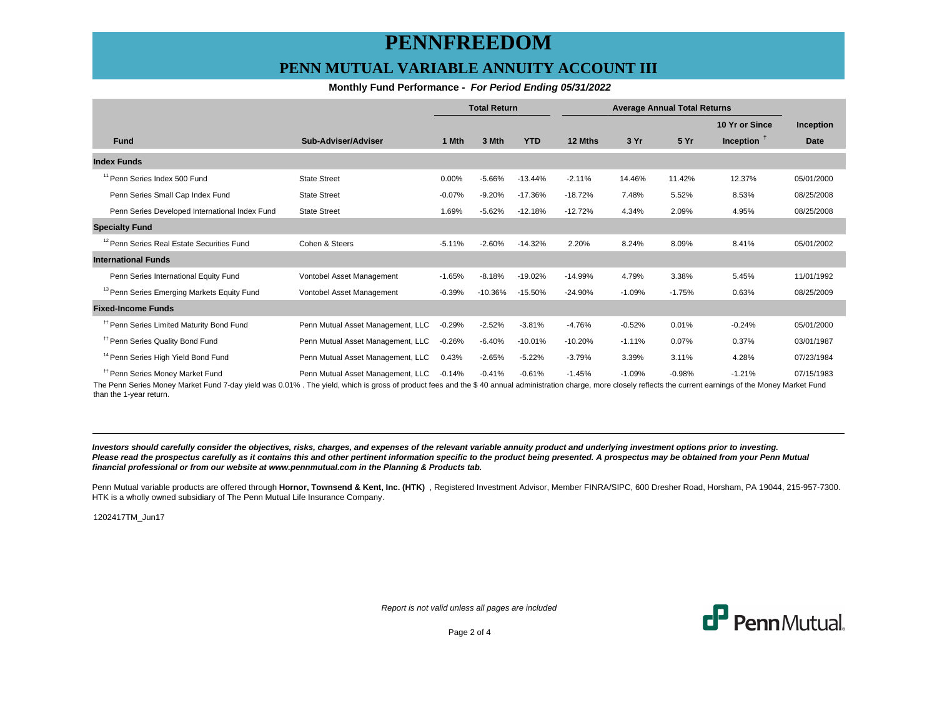### **PENN MUTUAL VARIABLE ANNUITY ACCOUNT III**

### **Monthly Fund Performance - For Period Ending 05/31/2022**

|                                                        |                                   | <b>Total Return</b> |           | <b>Average Annual Total Returns</b> |           |          |          |                |             |
|--------------------------------------------------------|-----------------------------------|---------------------|-----------|-------------------------------------|-----------|----------|----------|----------------|-------------|
|                                                        |                                   |                     |           |                                     |           |          |          | 10 Yr or Since | Inception   |
| <b>Fund</b>                                            | Sub-Adviser/Adviser               | 1 Mth               | 3 Mth     | <b>YTD</b>                          | 12 Mths   | 3 Yr     | 5 Yr     | Inception $T$  | <b>Date</b> |
| <b>Index Funds</b>                                     |                                   |                     |           |                                     |           |          |          |                |             |
| <sup>11</sup> Penn Series Index 500 Fund               | <b>State Street</b>               | 0.00%               | $-5.66%$  | $-13.44%$                           | $-2.11%$  | 14.46%   | 11.42%   | 12.37%         | 05/01/2000  |
| Penn Series Small Cap Index Fund                       | <b>State Street</b>               | $-0.07%$            | $-9.20%$  | $-17.36%$                           | $-18.72%$ | 7.48%    | 5.52%    | 8.53%          | 08/25/2008  |
| Penn Series Developed International Index Fund         | <b>State Street</b>               | 1.69%               | $-5.62%$  | $-12.18%$                           | $-12.72%$ | 4.34%    | 2.09%    | 4.95%          | 08/25/2008  |
| <b>Specialty Fund</b>                                  |                                   |                     |           |                                     |           |          |          |                |             |
| <sup>12</sup> Penn Series Real Estate Securities Fund  | Cohen & Steers                    | $-5.11%$            | $-2.60%$  | $-14.32%$                           | 2.20%     | 8.24%    | 8.09%    | 8.41%          | 05/01/2002  |
| <b>International Funds</b>                             |                                   |                     |           |                                     |           |          |          |                |             |
| Penn Series International Equity Fund                  | Vontobel Asset Management         | $-1.65%$            | $-8.18%$  | $-19.02%$                           | $-14.99%$ | 4.79%    | 3.38%    | 5.45%          | 11/01/1992  |
| <sup>13</sup> Penn Series Emerging Markets Equity Fund | Vontobel Asset Management         | $-0.39%$            | $-10.36%$ | $-15.50%$                           | $-24.90%$ | $-1.09%$ | $-1.75%$ | 0.63%          | 08/25/2009  |
| <b>Fixed-Income Funds</b>                              |                                   |                     |           |                                     |           |          |          |                |             |
| <sup>11</sup> Penn Series Limited Maturity Bond Fund   | Penn Mutual Asset Management, LLC | $-0.29%$            | $-2.52%$  | $-3.81%$                            | $-4.76%$  | $-0.52%$ | 0.01%    | $-0.24%$       | 05/01/2000  |
| <sup>11</sup> Penn Series Quality Bond Fund            | Penn Mutual Asset Management, LLC | $-0.26%$            | $-6.40%$  | $-10.01%$                           | $-10.20%$ | $-1.11%$ | 0.07%    | 0.37%          | 03/01/1987  |
| <sup>14</sup> Penn Series High Yield Bond Fund         | Penn Mutual Asset Management, LLC | 0.43%               | $-2.65%$  | $-5.22%$                            | $-3.79%$  | 3.39%    | 3.11%    | 4.28%          | 07/23/1984  |
| <sup>#</sup> Penn Series Money Market Fund             | Penn Mutual Asset Management, LLC | $-0.14%$            | $-0.41%$  | $-0.61%$                            | $-1.45%$  | $-1.09%$ | $-0.98%$ | $-1.21%$       | 07/15/1983  |

The Penn Series Money Market Fund 7-day yield was 0.01% . The yield, which is gross of product fees and the \$ 40 annual administration charge, more closely reflects the current earnings of the Money Market Fund than the 1-year return.

**Investors should carefully consider the objectives, risks, charges, and expenses of the relevant variable annuity product and underlying investment options prior to investing.** Please read the prospectus carefully as it contains this and other pertinent information specific to the product being presented. A prospectus may be obtained from your Penn Mutual **financial professional or from our website at www.pennmutual.com in the Planning & Products tab.**

Penn Mutual variable products are offered through Hornor, Townsend & Kent, Inc. (HTK), Registered Investment Advisor, Member FINRA/SIPC, 600 Dresher Road, Horsham, PA 19044, 215-957-7300. HTK is a wholly owned subsidiary of The Penn Mutual Life Insurance Company.

1202417TM\_Jun17

Report is not valid unless all pages are included



Page 2 of 4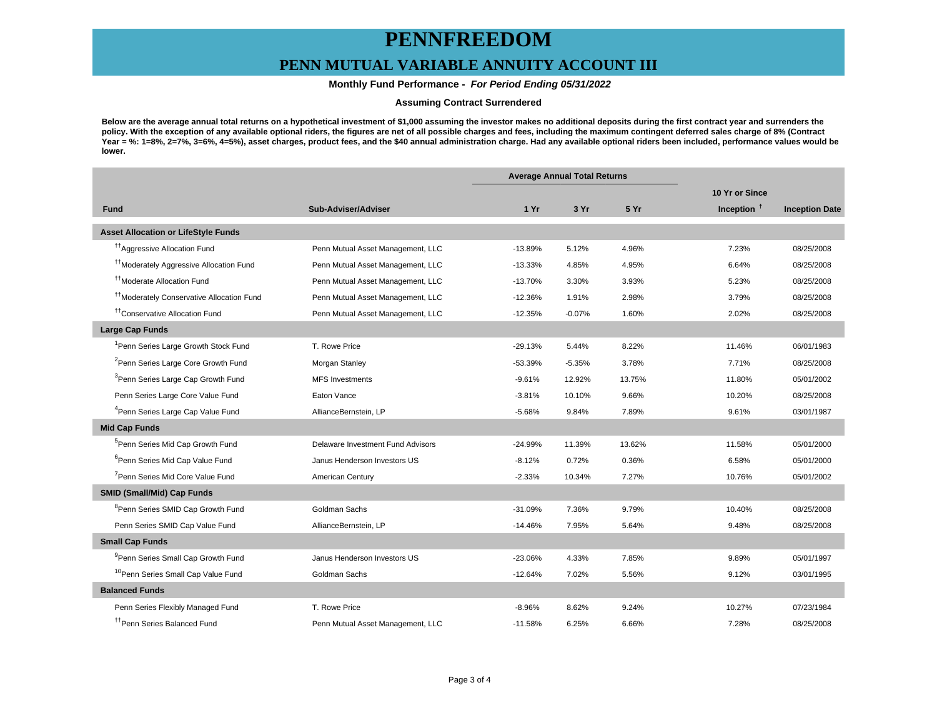### **PENN MUTUAL VARIABLE ANNUITY ACCOUNT III**

 **Monthly Fund Performance - For Period Ending 05/31/2022**

#### **Assuming Contract Surrendered**

**Below are the average annual total returns on a hypothetical investment of \$1,000 assuming the investor makes no additional deposits during the first contract year and surrenders the policy. With the exception of any available optional riders, the figures are net of all possible charges and fees, including the maximum contingent deferred sales charge of 8% (Contract Year = %: 1=8%, 2=7%, 3=6%, 4=5%), asset charges, product fees, and the \$40 annual administration charge. Had any available optional riders been included, performance values would be lower.**

|                                                       |                                   | <b>Average Annual Total Returns</b> |          |        |                |                       |
|-------------------------------------------------------|-----------------------------------|-------------------------------------|----------|--------|----------------|-----------------------|
|                                                       |                                   |                                     |          |        | 10 Yr or Since |                       |
| <b>Fund</b>                                           | Sub-Adviser/Adviser               | 1Yr                                 | 3 Yr     | 5 Yr   | Inception $†$  | <b>Inception Date</b> |
| <b>Asset Allocation or LifeStyle Funds</b>            |                                   |                                     |          |        |                |                       |
| <sup>17</sup> Aggressive Allocation Fund              | Penn Mutual Asset Management, LLC | $-13.89%$                           | 5.12%    | 4.96%  | 7.23%          | 08/25/2008            |
| <sup>11</sup> Moderately Aggressive Allocation Fund   | Penn Mutual Asset Management, LLC | $-13.33%$                           | 4.85%    | 4.95%  | 6.64%          | 08/25/2008            |
| <sup>11</sup> Moderate Allocation Fund                | Penn Mutual Asset Management, LLC | $-13.70%$                           | 3.30%    | 3.93%  | 5.23%          | 08/25/2008            |
| <sup>††</sup> Moderately Conservative Allocation Fund | Penn Mutual Asset Management, LLC | $-12.36%$                           | 1.91%    | 2.98%  | 3.79%          | 08/25/2008            |
| <sup>††</sup> Conservative Allocation Fund            | Penn Mutual Asset Management, LLC | $-12.35%$                           | $-0.07%$ | 1.60%  | 2.02%          | 08/25/2008            |
| <b>Large Cap Funds</b>                                |                                   |                                     |          |        |                |                       |
| <sup>1</sup> Penn Series Large Growth Stock Fund      | T. Rowe Price                     | $-29.13%$                           | 5.44%    | 8.22%  | 11.46%         | 06/01/1983            |
| <sup>2</sup> Penn Series Large Core Growth Fund       | Morgan Stanley                    | $-53.39%$                           | $-5.35%$ | 3.78%  | 7.71%          | 08/25/2008            |
| <sup>3</sup> Penn Series Large Cap Growth Fund        | <b>MFS</b> Investments            | $-9.61%$                            | 12.92%   | 13.75% | 11.80%         | 05/01/2002            |
| Penn Series Large Core Value Fund                     | Eaton Vance                       | $-3.81%$                            | 10.10%   | 9.66%  | 10.20%         | 08/25/2008            |
| <sup>4</sup> Penn Series Large Cap Value Fund         | AllianceBernstein, LP             | $-5.68%$                            | 9.84%    | 7.89%  | 9.61%          | 03/01/1987            |
| <b>Mid Cap Funds</b>                                  |                                   |                                     |          |        |                |                       |
| <sup>5</sup> Penn Series Mid Cap Growth Fund          | Delaware Investment Fund Advisors | $-24.99%$                           | 11.39%   | 13.62% | 11.58%         | 05/01/2000            |
| <sup>6</sup> Penn Series Mid Cap Value Fund           | Janus Henderson Investors US      | $-8.12%$                            | 0.72%    | 0.36%  | 6.58%          | 05/01/2000            |
| <sup>7</sup> Penn Series Mid Core Value Fund          | American Century                  | $-2.33%$                            | 10.34%   | 7.27%  | 10.76%         | 05/01/2002            |
| <b>SMID (Small/Mid) Cap Funds</b>                     |                                   |                                     |          |        |                |                       |
| <sup>8</sup> Penn Series SMID Cap Growth Fund         | Goldman Sachs                     | $-31.09%$                           | 7.36%    | 9.79%  | 10.40%         | 08/25/2008            |
| Penn Series SMID Cap Value Fund                       | AllianceBernstein, LP             | $-14.46%$                           | 7.95%    | 5.64%  | 9.48%          | 08/25/2008            |
| <b>Small Cap Funds</b>                                |                                   |                                     |          |        |                |                       |
| <sup>9</sup> Penn Series Small Cap Growth Fund        | Janus Henderson Investors US      | $-23.06%$                           | 4.33%    | 7.85%  | 9.89%          | 05/01/1997            |
| <sup>10</sup> Penn Series Small Cap Value Fund        | Goldman Sachs                     | $-12.64%$                           | 7.02%    | 5.56%  | 9.12%          | 03/01/1995            |
| <b>Balanced Funds</b>                                 |                                   |                                     |          |        |                |                       |
| Penn Series Flexibly Managed Fund                     | T. Rowe Price                     | $-8.96%$                            | 8.62%    | 9.24%  | 10.27%         | 07/23/1984            |
| <sup>††</sup> Penn Series Balanced Fund               | Penn Mutual Asset Management, LLC | $-11.58%$                           | 6.25%    | 6.66%  | 7.28%          | 08/25/2008            |